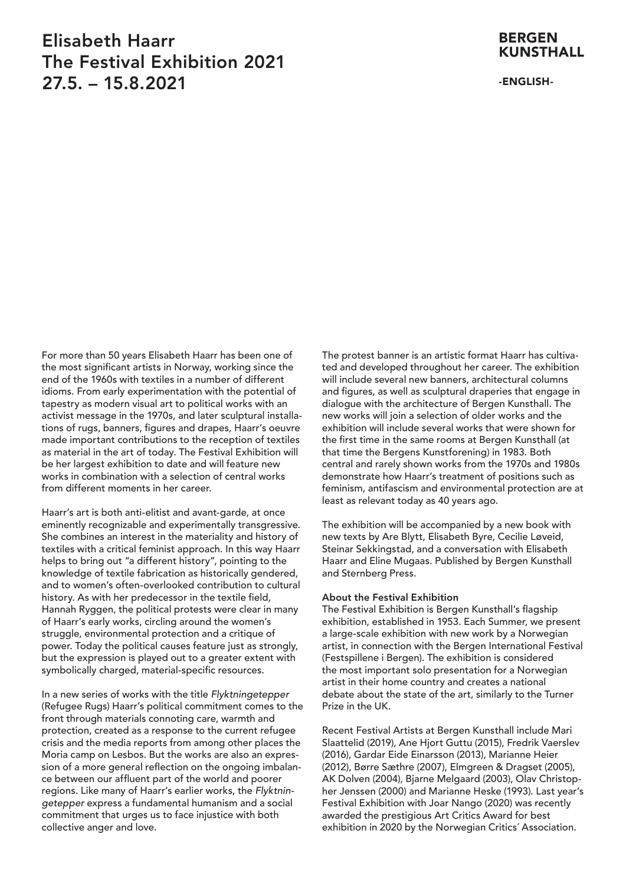# Elisabeth Haarr The Festival Exhibition 2021 27.5. – 15.8.2021

### BERGEN **KUNSTHALL**

#### -ENGLISH-

For more than 50 years Elisabeth Haarr has been one of the most significant artists in Norway, working since the end of the 1960s with textiles in a number of different idioms. From early experimentation with the potential of tapestry as modern visual art to political works with an activist message in the 1970s, and later sculptural installations of rugs, banners, figures and drapes, Haarr's oeuvre made important contributions to the reception of textiles as material in the art of today. The Festival Exhibition will be her largest exhibition to date and will feature new works in combination with a selection of central works from different moments in her career.

Haarr's art is both anti-elitist and avant-garde, at once eminently recognizable and experimentally transgressive. She combines an interest in the materiality and history of textiles with a critical feminist approach. In this way Haarr helps to bring out "a different history", pointing to the knowledge of textile fabrication as historically gendered, and to women's often-overlooked contribution to cultural history. As with her predecessor in the textile field, Hannah Ryggen, the political protests were clear in many of Haarr's early works, circling around the women's struggle, environmental protection and a critique of power. Today the political causes feature just as strongly, but the expression is played out to a greater extent with symbolically charged, material-specific resources.

In a new series of works with the title *Flyktningetepper* (Refugee Rugs) Haarr's political commitment comes to the front through materials connoting care, warmth and protection, created as a response to the current refugee crisis and the media reports from among other places the Moria camp on Lesbos. But the works are also an expression of a more general reflection on the ongoing imbalance between our affluent part of the world and poorer regions. Like many of Haarr's earlier works, the *Flyktningetepper* express a fundamental humanism and a social commitment that urges us to face injustice with both collective anger and love.

The protest banner is an artistic format Haarr has cultivated and developed throughout her career. The exhibition will include several new banners, architectural columns and figures, as well as sculptural draperies that engage in dialogue with the architecture of Bergen Kunsthall. The new works will join a selection of older works and the exhibition will include several works that were shown for the first time in the same rooms at Bergen Kunsthall (at that time the Bergens Kunstforening) in 1983. Both central and rarely shown works from the 1970s and 1980s demonstrate how Haarr's treatment of positions such as feminism, antifascism and environmental protection are at least as relevant today as 40 years ago.

The exhibition will be accompanied by a new book with new texts by Are Blytt, Elisabeth Byre, Cecilie Løveid, Steinar Sekkingstad, and a conversation with Elisabeth Haarr and Eline Mugaas. Published by Bergen Kunsthall and Sternberg Press.

#### About the Festival Exhibition

The Festival Exhibition is Bergen Kunsthall's flagship exhibition, established in 1953. Each Summer, we present a large-scale exhibition with new work by a Norwegian artist, in connection with the Bergen International Festival (Festspillene i Bergen). The exhibition is considered the most important solo presentation for a Norwegian artist in their home country and creates a national debate about the state of the art, similarly to the Turner Prize in the UK.

Recent Festival Artists at Bergen Kunsthall include Mari Slaattelid (2019), Ane Hjort Guttu (2015), Fredrik Vaerslev (2016), Gardar Eide Einarsson (2013), Marianne Heier (2012), Børre Sæthre (2007), Elmgreen & Dragset (2005), AK Dolven (2004), Bjarne Melgaard (2003), Olav Christopher Jenssen (2000) and Marianne Heske (1993). Last year's Festival Exhibition with Joar Nango (2020) was recently awarded the prestigious Art Critics Award for best exhibition in 2020 by the Norwegian Critics´ Association.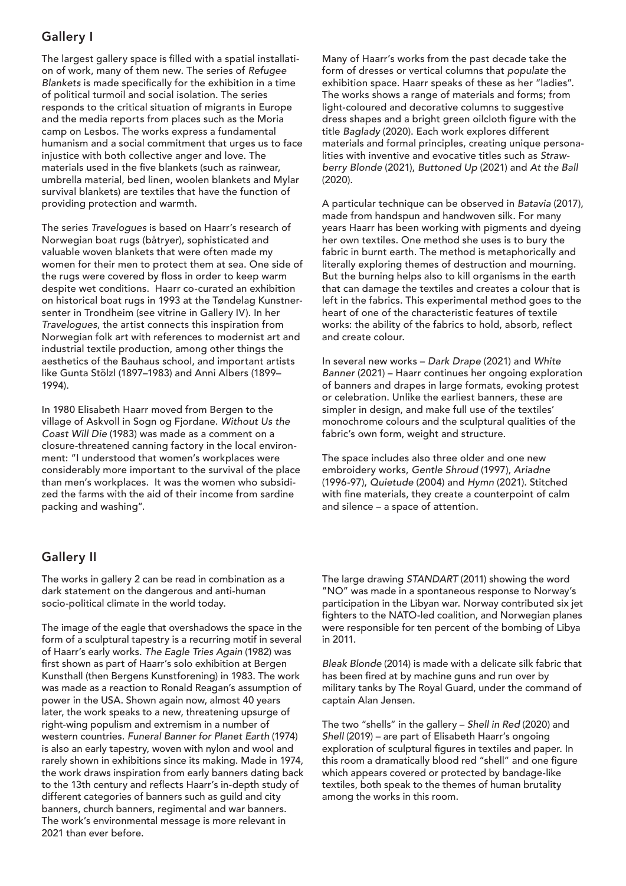## Gallery I

The largest gallery space is filled with a spatial installation of work, many of them new. The series of *Refugee Blankets* is made specifically for the exhibition in a time of political turmoil and social isolation. The series responds to the critical situation of migrants in Europe and the media reports from places such as the Moria camp on Lesbos. The works express a fundamental humanism and a social commitment that urges us to face injustice with both collective anger and love. The materials used in the five blankets (such as rainwear, umbrella material, bed linen, woolen blankets and Mylar survival blankets) are textiles that have the function of providing protection and warmth.

The series *Travelogues* is based on Haarr's research of Norwegian boat rugs (båtryer), sophisticated and valuable woven blankets that were often made my women for their men to protect them at sea. One side of the rugs were covered by floss in order to keep warm despite wet conditions. Haarr co-curated an exhibition on historical boat rugs in 1993 at the Tøndelag Kunstnersenter in Trondheim (see vitrine in Gallery IV). In her *Travelogues*, the artist connects this inspiration from Norwegian folk art with references to modernist art and industrial textile production, among other things the aesthetics of the Bauhaus school, and important artists like Gunta Stölzl (1897–1983) and Anni Albers (1899– 1994).

In 1980 Elisabeth Haarr moved from Bergen to the village of Askvoll in Sogn og Fjordane. *Without Us the Coast Will Die* (1983) was made as a comment on a closure-threatened canning factory in the local environment: "I understood that women's workplaces were considerably more important to the survival of the place than men's workplaces. It was the women who subsidized the farms with the aid of their income from sardine packing and washing".

### Gallery II

The works in gallery 2 can be read in combination as a dark statement on the dangerous and anti-human socio-political climate in the world today.

The image of the eagle that overshadows the space in the form of a sculptural tapestry is a recurring motif in several of Haarr's early works. *The Eagle Tries Again* (1982) was first shown as part of Haarr's solo exhibition at Bergen Kunsthall (then Bergens Kunstforening) in 1983. The work was made as a reaction to Ronald Reagan's assumption of power in the USA. Shown again now, almost 40 years later, the work speaks to a new, threatening upsurge of right-wing populism and extremism in a number of western countries. *Funeral Banner for Planet Earth* (1974) is also an early tapestry, woven with nylon and wool and rarely shown in exhibitions since its making. Made in 1974, the work draws inspiration from early banners dating back to the 13th century and reflects Haarr's in-depth study of different categories of banners such as guild and city banners, church banners, regimental and war banners. The work's environmental message is more relevant in 2021 than ever before.

Many of Haarr's works from the past decade take the form of dresses or vertical columns that *populate* the exhibition space. Haarr speaks of these as her "ladies". The works shows a range of materials and forms; from light-coloured and decorative columns to suggestive dress shapes and a bright green oilcloth figure with the title *Baglady* (2020). Each work explores different materials and formal principles, creating unique personalities with inventive and evocative titles such as *Strawberry Blonde* (2021), *Buttoned Up* (2021) and *At the Ball* (2020).

A particular technique can be observed in *Batavia* (2017), made from handspun and handwoven silk. For many years Haarr has been working with pigments and dyeing her own textiles. One method she uses is to bury the fabric in burnt earth. The method is metaphorically and literally exploring themes of destruction and mourning. But the burning helps also to kill organisms in the earth that can damage the textiles and creates a colour that is left in the fabrics. This experimental method goes to the heart of one of the characteristic features of textile works: the ability of the fabrics to hold, absorb, reflect and create colour.

In several new works – *Dark Drape* (2021) and *White Banner* (2021) – Haarr continues her ongoing exploration of banners and drapes in large formats, evoking protest or celebration. Unlike the earliest banners, these are simpler in design, and make full use of the textiles' monochrome colours and the sculptural qualities of the fabric's own form, weight and structure.

The space includes also three older and one new embroidery works, *Gentle Shroud* (1997), *Ariadne* (1996-97), *Quietude* (2004) and *Hymn* (2021). Stitched with fine materials, they create a counterpoint of calm and silence – a space of attention.

The large drawing *STANDART* (2011) showing the word "NO" was made in a spontaneous response to Norway's participation in the Libyan war. Norway contributed six jet fighters to the NATO-led coalition, and Norwegian planes were responsible for ten percent of the bombing of Libya in 2011.

*Bleak Blonde* (2014) is made with a delicate silk fabric that has been fired at by machine guns and run over by military tanks by The Royal Guard, under the command of captain Alan Jensen.

The two "shells" in the gallery – *Shell in Red* (2020) and *Shell* (2019) – are part of Elisabeth Haarr's ongoing exploration of sculptural figures in textiles and paper. In this room a dramatically blood red "shell" and one figure which appears covered or protected by bandage-like textiles, both speak to the themes of human brutality among the works in this room.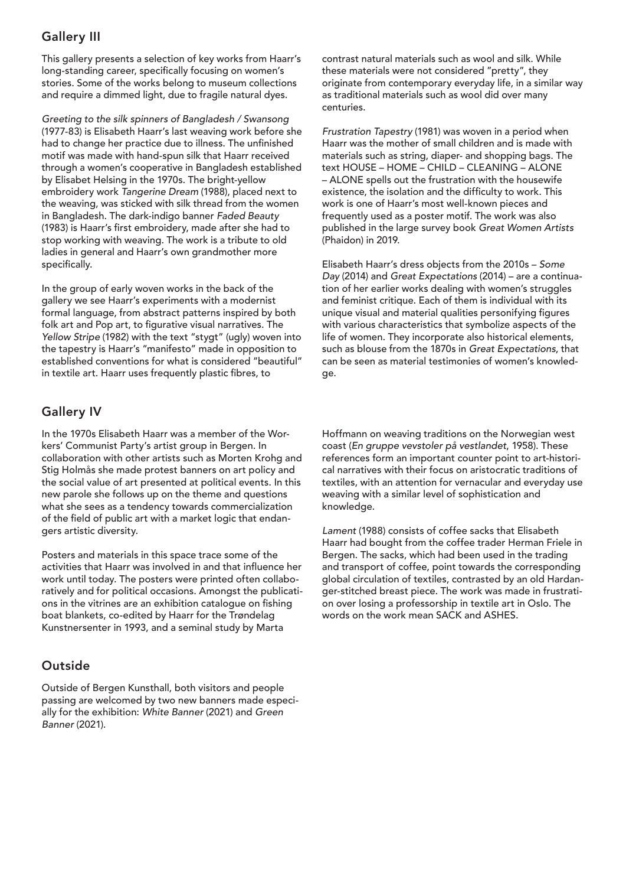## Gallery III

This gallery presents a selection of key works from Haarr's long-standing career, specifically focusing on women's stories. Some of the works belong to museum collections and require a dimmed light, due to fragile natural dyes.

*Greeting to the silk spinners of Bangladesh / Swansong* (1977-83) is Elisabeth Haarr's last weaving work before she had to change her practice due to illness. The unfinished motif was made with hand-spun silk that Haarr received through a women's cooperative in Bangladesh established by Elisabet Helsing in the 1970s. The bright-yellow embroidery work *Tangerine Dream* (1988), placed next to the weaving, was sticked with silk thread from the women in Bangladesh. The dark-indigo banner *Faded Beauty* (1983) is Haarr's first embroidery, made after she had to stop working with weaving. The work is a tribute to old ladies in general and Haarr's own grandmother more specifically.

In the group of early woven works in the back of the gallery we see Haarr's experiments with a modernist formal language, from abstract patterns inspired by both folk art and Pop art, to figurative visual narratives. The *Yellow Stripe* (1982) with the text "stygt" (ugly) woven into the tapestry is Haarr's "manifesto" made in opposition to established conventions for what is considered "beautiful" in textile art. Haarr uses frequently plastic fibres, to

## Gallery IV

In the 1970s Elisabeth Haarr was a member of the Workers' Communist Party's artist group in Bergen. In collaboration with other artists such as Morten Krohg and Stig Holmås she made protest banners on art policy and the social value of art presented at political events. In this new parole she follows up on the theme and questions what she sees as a tendency towards commercialization of the field of public art with a market logic that endangers artistic diversity.

Posters and materials in this space trace some of the activities that Haarr was involved in and that influence her work until today. The posters were printed often collaboratively and for political occasions. Amongst the publications in the vitrines are an exhibition catalogue on fishing boat blankets, co-edited by Haarr for the Trøndelag Kunstnersenter in 1993, and a seminal study by Marta

### **Outside**

Outside of Bergen Kunsthall, both visitors and people passing are welcomed by two new banners made especially for the exhibition: *White Banner* (2021) and *Green Banner* (2021).

contrast natural materials such as wool and silk. While these materials were not considered "pretty", they originate from contemporary everyday life, in a similar way as traditional materials such as wool did over many centuries.

*Frustration Tapestry* (1981) was woven in a period when Haarr was the mother of small children and is made with materials such as string, diaper- and shopping bags. The text HOUSE – HOME – CHILD – CLEANING – ALONE – ALONE spells out the frustration with the housewife existence, the isolation and the difficulty to work. This work is one of Haarr's most well-known pieces and frequently used as a poster motif. The work was also published in the large survey book *Great Women Artists* (Phaidon) in 2019.

Elisabeth Haarr's dress objects from the 2010s – *Some Day* (2014) and *Great Expectations* (2014) – are a continuation of her earlier works dealing with women's struggles and feminist critique. Each of them is individual with its unique visual and material qualities personifying figures with various characteristics that symbolize aspects of the life of women. They incorporate also historical elements, such as blouse from the 1870s in *Great Expectations*, that can be seen as material testimonies of women's knowledge.

Hoffmann on weaving traditions on the Norwegian west coast (*En gruppe vevstoler på vestlandet*, 1958). These references form an important counter point to art-historical narratives with their focus on aristocratic traditions of textiles, with an attention for vernacular and everyday use weaving with a similar level of sophistication and knowledge.

*Lament* (1988) consists of coffee sacks that Elisabeth Haarr had bought from the coffee trader Herman Friele in Bergen. The sacks, which had been used in the trading and transport of coffee, point towards the corresponding global circulation of textiles, contrasted by an old Hardanger-stitched breast piece. The work was made in frustration over losing a professorship in textile art in Oslo. The words on the work mean SACK and ASHES.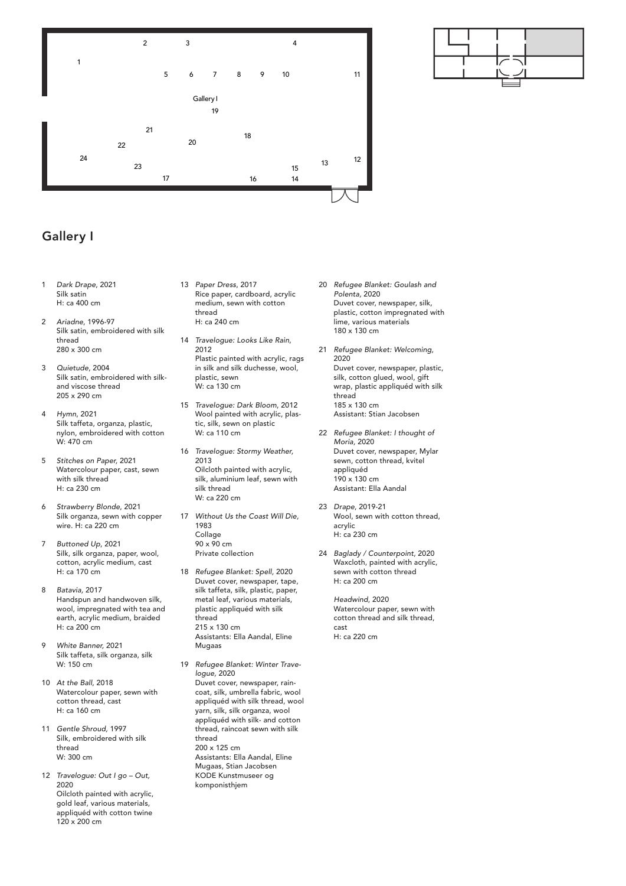

## Gallery I

- 1 *Dark Drape*, 2021 Silk satin H: ca 400 cm
- 2 *Ariadne*, 1996-97 Silk satin, embroidered with silk thread 280 x 300 cm
- 3 *Quietude*, 2004 Silk satin, embroidered with silkand viscose thread 205 x 290 cm
- 4 *Hymn*, 2021 Silk taffeta, organza, plastic, nylon, embroidered with cotton W: 470 cm
- 5 *Stitches on Paper,* 2021 Watercolour paper, cast, sewn with silk thread H: ca 230 cm
- 6 *Strawberry Blonde*, 2021 Silk organza, sewn with copper wire. H: ca 220 cm
- 7 *Buttoned Up*, 2021 Silk, silk organza, paper, wool, cotton, acrylic medium, cast H: ca 170 cm
- 8 *Batavia,* 2017 Handspun and handwoven silk, wool, impregnated with tea and earth, acrylic medium, braided H: ca 200 cm
- 9 *White Banner,* 2021 Silk taffeta, silk organza, silk W: 150 cm
- 10 *At the Ball,* 2018 Watercolour paper, sewn with cotton thread, cast H: ca 160 cm
- 11 *Gentle Shroud,* 1997 Silk, embroidered with silk thread W: 300 cm
- 12 *Travelogue: Out I go Out,* 2020 Oilcloth painted with acrylic, gold leaf, various materials, appliquéd with cotton twine 120 x 200 cm
- 13 *Paper Dress*, 2017 Rice paper, cardboard, acrylic medium, sewn with cotton thread H: ca 240 cm
- 14 *Travelogue: Looks Like Rain*, 2012 Plastic painted with acrylic, rags in silk and silk duchesse, wool, plastic, sewn W: ca 130 cm
- 15 *Travelogue: Dark Bloom*, 2012 Wool painted with acrylic, plastic, silk, sewn on plastic W: ca 110 cm
- 16 *Travelogue: Stormy Weather,*  2013 Oilcloth painted with acrylic, silk, aluminium leaf, sewn with silk thread W: ca 220 cm
- 17 *Without Us the Coast Will Die,* 1983 Collage 90 x 90 cm Private collection
- 18 *Refugee Blanket: Spell,* 2020 Duvet cover, newspaper, tape, silk taffeta, silk, plastic, paper, metal leaf, various materials, plastic appliquéd with silk thread 215 x 130 cm Assistants: Ella Aandal, Eline Mugaas
- 19 *Refugee Blanket: Winter Travelogue,* 2020 Duvet cover, newspaper, raincoat, silk, umbrella fabric, wool appliquéd with silk thread, wool yarn, silk, silk organza, wool appliquéd with silk- and cotton thread, raincoat sewn with silk thread 200 x 125 cm Assistants: Ella Aandal, Eline Mugaas, Stian Jacobsen KODE Kunstmuseer og komponisthjem
- 20 *Refugee Blanket: Goulash and Polenta,* 2020 Duvet cover, newspaper, silk, plastic, cotton impregnated with lime, various materials 180 x 130 cm
- 21 *Refugee Blanket: Welcoming,* 2020 Duvet cover, newspaper, plastic, silk, cotton glued, wool, gift wrap, plastic appliquéd with silk thread 185 x 130 cm Assistant: Stian Jacobsen
- 22 *Refugee Blanket: I thought of Moria,* 2020 Duvet cover, newspaper, Mylar sewn, cotton thread, kvitel appliquéd 190 x 130 cm Assistant: Ella Aandal
- 23 *Drape*, 2019-21 Wool, sewn with cotton thread, acrylic H: ca 230 cm
- 24 *Baglady / Counterpoint,* 2020 Waxcloth, painted with acrylic, sewn with cotton thread H: ca 200 cm

*Headwind*, 2020 Watercolour paper, sewn with cotton thread and silk thread, cast H: ca 220 cm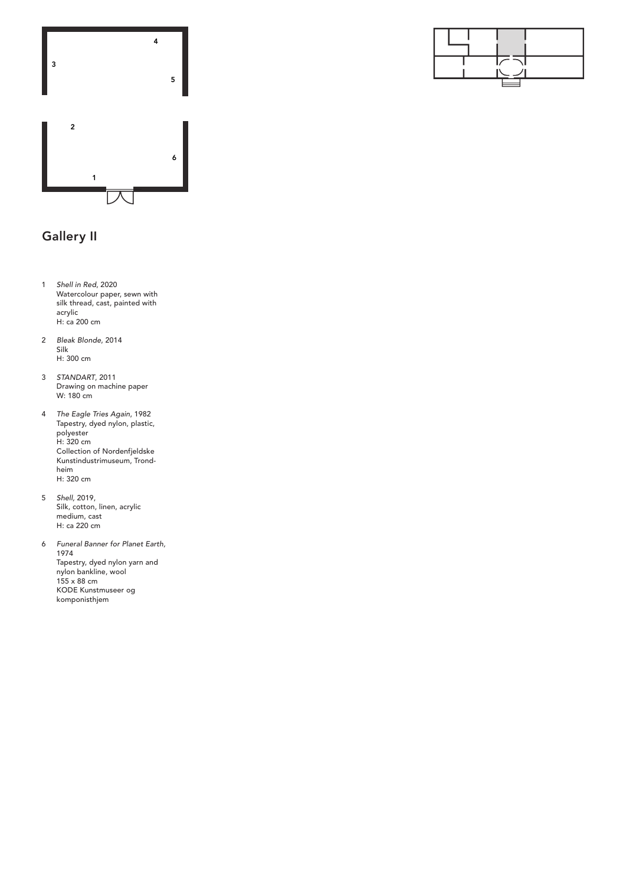



## Gallery II

- 1 *Shell in Red*, 2020 Watercolour paper, sewn with silk thread, cast, painted with acrylic H: ca 200 cm
- 2 *Bleak Blonde*, 2014 Silk H: 300 cm
- 3 *STANDART*, 2011 Drawing on machine paper W: 180 cm
- 4 *The Eagle Tries Again*, 1982 Tapestry, dyed nylon, plastic, polyester H: 320 cm Collection of Nordenfjeldske Kunstindustrimuseum, Trondheim H: 320 cm
- 5 *Shell,* 2019, Silk, cotton, linen, acrylic medium, cast H: ca 220 cm
- 6 *Funeral Banner for Planet Earth,* 1974 Tapestry, dyed nylon yarn and nylon bankline, wool 155 x 88 cm KODE Kunstmuseer og komponisthjem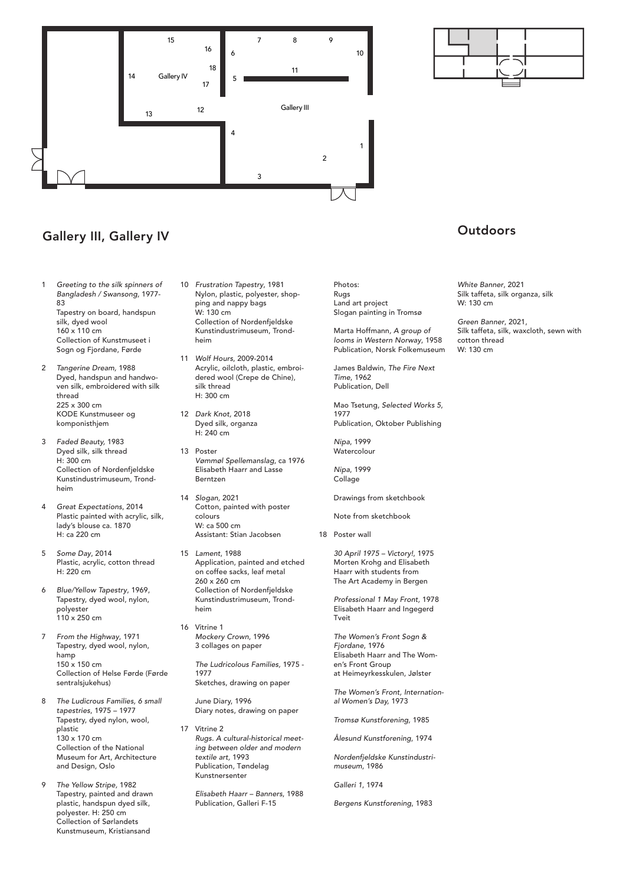

## Gallery III, Gallery IV

- 1 *Greeting to the silk spinners of Bangladesh / Swansong,* 1977- 83 Tapestry on board, handspun silk, dyed wool 160 x 110 cm Collection of Kunstmuseet i Sogn og Fjordane, Førde
- 2 *Tangerine Dream,* 1988 Dyed, handspun and handwoven silk, embroidered with silk thread 225 x 300 cm KODE Kunstmuseer og komponisthjem
- 3 *Faded Beauty,* 1983 Dyed silk, silk thread H: 300 cm Collection of Nordenfjeldske Kunstindustrimuseum, Trondheim
- 4 *Great Expectations*, 2014 Plastic painted with acrylic, silk, lady's blouse ca. 1870 H: ca 220 cm
- 5 *Some Day*, 2014 Plastic, acrylic, cotton thread  $H: 220 cm$
- 6 *Blue/Yellow Tapestry*, 1969, Tapestry, dyed wool, nylon, polyester  $110 \times 250$  cm
- 7 *From the Highway*, 1971 Tapestry, dyed wool, nylon, hamp 150 x 150 cm Collection of Helse Førde (Førde sentralsjukehus)
- 8 *The Ludicrous Families, 6 small tapestries*, 1975 – 1977 Tapestry, dyed nylon, wool, plastic .<br>130 x 170 cm Collection of the National Museum for Art, Architecture and Design, Oslo
- 9 *The Yellow Stripe,* 1982 Tapestry, painted and drawn plastic, handspun dyed silk, polyester. H: 250 cm Collection of Sørlandets Kunstmuseum, Kristiansand
- 10 *Frustration Tapestry*, 1981 Nylon, plastic, polyester, shopping and nappy bags W: 130 cm Collection of Nordenfjeldske Kunstindustrimuseum, Trondheim
- 11 *Wolf Hours*, 2009-2014 Acrylic, oilcloth, plastic, embroidered wool (Crepe de Chine), silk thread H: 300 cm
- 12 *Dark Knot,* 2018 Dyed silk, organza H: 240 cm
- 13 Poster *Vømmøl Spellemanslag*, ca 1976 Elisabeth Haarr and Lasse Berntzen
- 14 *Slogan*, 2021 Cotton, painted with poster colours W: ca 500 cm Assistant: Stian Jacobsen
- 15 *Lament*, 1988 Application, painted and etched on coffee sacks, leaf metal 260 x 260 cm Collection of Nordenfjeldske Kunstindustrimuseum, Trondheim
- 16 Vitrine 1 *Mockery Crown*, 1996 3 collages on paper
	- *The Ludricolous Families,* 1975 1977 Sketches, drawing on paper
	- June Diary, 1996 Diary notes, drawing on paper
- 17 Vitrine 2 *Rugs. A cultural-historical meeting between older and modern textile art,* 1993 Publication, Tøndelag Kunstnersenter
	- *Elisabeth Haarr Banners*, 1988 Publication, Galleri F-15

Photos: Rugs Land art project Slogan painting in Tromsø

Marta Hoffmann*, A group of looms in Western Norway*, 1958 Publication, Norsk Folkemuseum

James Baldwin, *The Fire Next Time*, 1962 Publication, Dell

Mao Tsetung, *Selected Works 5*, 1977 Publication, Oktober Publishing

*Nipa*, 1999 **Watercolour** 

*Nipa*, 1999 Collage

Drawings from sketchbook

Note from sketchbook

18 Poster wall

*30 April 1975 – Victory!*, 1975 Morten Krohg and Elisabeth Haarr with students from The Art Academy in Bergen

*Professional 1 May Front,* 1978 Elisabeth Haarr and Ingegerd Tveit

*The Women's Front Sogn & Fjordane*, 1976 Elisabeth Haarr and The Women's Front Group at Heimeyrkesskulen, Jølster

*The Women's Front, International Women's Day,* 1973

*Tromsø Kunstforening,* 1985

*Ålesund Kunstforening*, 1974

*Nordenfjeldske Kunstindustrimuseum*, 1986

*Galleri 1*, 1974

*Bergens Kunstforening*, 1983

### **Outdoors**

*White Banner*, 2021 Silk taffeta, silk organza, silk W: 130 cm

*Green Banner*, 2021, Silk taffeta, silk, waxcloth, sewn with cotton thread W: 130 cm